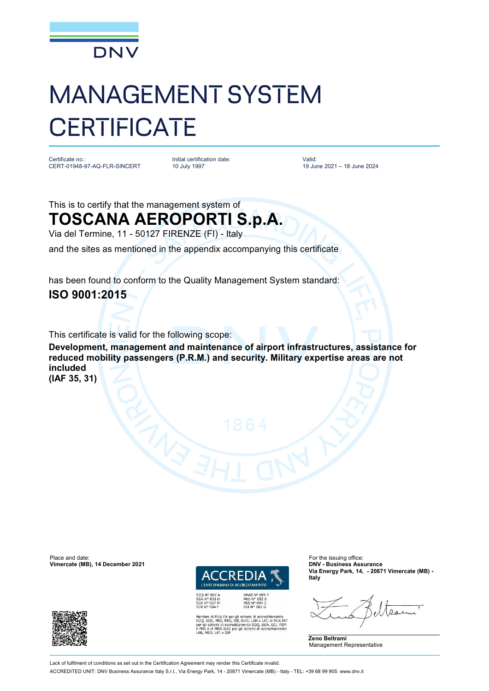

## MANAGEMENT SYSTEM **CERTIFICATE**

Certificate no.: CERT-01948-97-AQ-FLR-SINCERT Initial certification date: 10 July 1997

Valid: 19 June 2021 – 18 June 2024

This is to certify that the management system of

## **TOSCANA AEROPORTI S.p.A.**

Via del Termine, 11 - 50127 FIRENZE (FI) - Italy

and the sites as mentioned in the appendix accompanying this certificate

has been found to conform to the Quality Management System standard: **ISO 9001:2015**

This certificate is valid for the following scope:

**Development, management and maintenance of airport infrastructures, assistance for reduced mobility passengers (P.R.M.) and security. Military expertise areas are not included (IAF 35, 31)**

Place and date: For the issuing office:<br> **Vimercate (MB), 14 December 2021 Contract COMPLE CONTENTS ASSURANCE**<br> **PICE CONTENTS ASSURANCE Vimercate (MB), 14 December 2021** 



PRD Nº 003 B<br>PRS Nº 094 C<br>SSI Nº 002 G

SGQ N° 003 A<br>SGA N° 003 D<br>SGE N° 007 M<br>SCR N° 004 F

oro di MLA EA per gli schemi di accreditamento<br>SGA, PRD, PRS, ISP, GHG, LAB e LAT, di MLA IAF<br>il schemi di accreditamento SGQ, SGA, SSI, FSM ILAC per gli schemi di accr

**Via Energy Park, 14, - 20871 Vimercate (MB) - Italy**





Lack of fulfilment of conditions as set out in the Certification Agreement may render this Certificate invalid.

ACCREDITED UNIT: DNV Business Assurance Italy S.r.l., Via Energy Park, 14 - 20871 Vimercate (MB) - Italy - TEL: +39 68 99 905. [www.dnv.it](http://www.dnv.it)